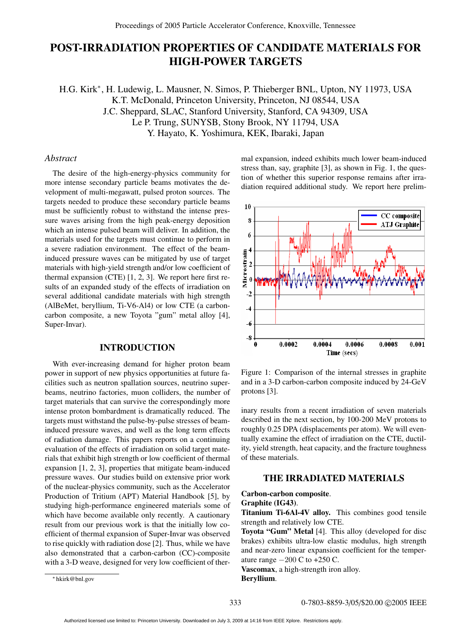# **POST-IRRADIATION PROPERTIES OF CANDIDATE MATERIALS FOR HIGH-POWER TARGETS**

H.G. Kirk<sup>∗</sup>, H. Ludewig, L. Mausner, N. Simos, P. Thieberger BNL, Upton, NY 11973, USA K.T. McDonald, Princeton University, Princeton, NJ 08544, USA J.C. Sheppard, SLAC, Stanford University, Stanford, CA 94309, USA Le P. Trung, SUNYSB, Stony Brook, NY 11794, USA Y. Hayato, K. Yoshimura, KEK, Ibaraki, Japan

# *Abstract*

The desire of the high-energy-physics community for more intense secondary particle beams motivates the development of multi-megawatt, pulsed proton sources. The targets needed to produce these secondary particle beams must be sufficiently robust to withstand the intense pressure waves arising from the high peak-energy deposition which an intense pulsed beam will deliver. In addition, the materials used for the targets must continue to perform in a severe radiation environment. The effect of the beaminduced pressure waves can be mitigated by use of target materials with high-yield strength and/or low coefficient of thermal expansion (CTE) [1, 2, 3]. We report here first results of an expanded study of the effects of irradiation on several additional candidate materials with high strength (AlBeMet, beryllium, Ti-V6-Al4) or low CTE (a carboncarbon composite, a new Toyota "gum" metal alloy [4], Super-Invar).

#### **INTRODUCTION**

With ever-increasing demand for higher proton beam power in support of new physics opportunities at future facilities such as neutron spallation sources, neutrino superbeams, neutrino factories, muon colliders, the number of target materials that can survive the correspondingly more intense proton bombardment is dramatically reduced. The targets must withstand the pulse-by-pulse stresses of beaminduced pressure waves, and well as the long term effects of radiation damage. This papers reports on a continuing evaluation of the effects of irradiation on solid target materials that exhibit high strength or low coefficient of thermal expansion [1, 2, 3], properties that mitigate beam-induced pressure waves. Our studies build on extensive prior work of the nuclear-physics community, such as the Accelerator Production of Tritium (APT) Material Handbook [5], by studying high-performance engineered materials some of which have become available only recently. A cautionary result from our previous work is that the initially low coefficient of thermal expansion of Super-Invar was observed to rise quickly with radiation dose [2]. Thus, while we have also demonstrated that a carbon-carbon (CC)-composite with a 3-D weave, designed for very low coefficient of thermal expansion, indeed exhibits much lower beam-induced stress than, say, graphite [3], as shown in Fig. 1, the question of whether this superior response remains after irradiation required additional study. We report here prelim-



Figure 1: Comparison of the internal stresses in graphite and in a 3-D carbon-carbon composite induced by 24-GeV protons [3].

inary results from a recent irradiation of seven materials described in the next section, by 100-200 MeV protons to roughly 0.25 DPA (displacements per atom). We will eventually examine the effect of irradiation on the CTE, ductility, yield strength, heat capacity, and the fracture toughness of these materials.

# **THE IRRADIATED MATERIALS**

#### **Carbon-carbon composite**. **Graphite (IG43)**.

**Titanium Ti-6Al-4V alloy.** This combines good tensile strength and relatively low CTE.

**Toyota "Gum" Metal** [4]. This alloy (developed for disc brakes) exhibits ultra-low elastic modulus, high strength and near-zero linear expansion coefficient for the temperature range  $-200$  C to  $+250$  C.

**Vascomax**, a high-strength iron alloy.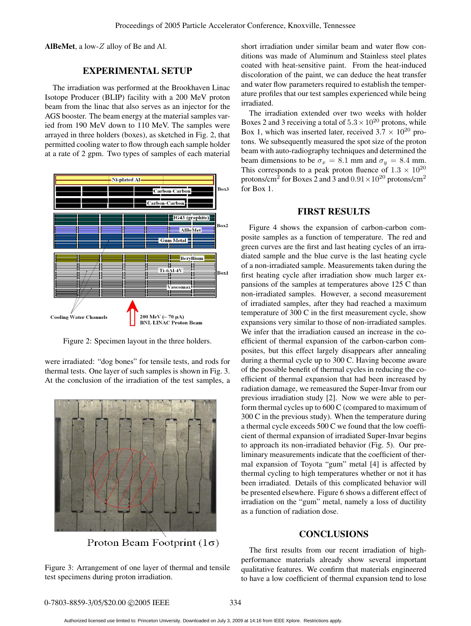**AlBeMet**, a low-Z alloy of Be and Al.

#### **EXPERIMENTAL SETUP**

The irradiation was performed at the Brookhaven Linac Isotope Producer (BLIP) facility with a 200 MeV proton beam from the linac that also serves as an injector for the AGS booster. The beam energy at the material samples varied from 190 MeV down to 110 MeV. The samples were arrayed in three holders (boxes), as sketched in Fig. 2, that permitted cooling water to flow through each sample holder at a rate of 2 gpm. Two types of samples of each material



Figure 2: Specimen layout in the three holders.

were irradiated: "dog bones" for tensile tests, and rods for thermal tests. One layer of such samples is shown in Fig. 3. At the conclusion of the irradiation of the test samples, a



Proton Beam Footprint  $(1\sigma)$ 

Figure 3: Arrangement of one layer of thermal and tensile test specimens during proton irradiation.

short irradiation under similar beam and water flow conditions was made of Aluminum and Stainless steel plates coated with heat-sensitive paint. From the heat-induced discoloration of the paint, we can deduce the heat transfer and water flow parameters required to establish the temperature profiles that our test samples experienced while being irradiated.

The irradiation extended over two weeks with holder Boxes 2 and 3 receiving a total of  $5.3 \times 10^{20}$  protons, while Box 1, which was inserted later, received  $3.7 \times 10^{20}$  protons. We subsequently measured the spot size of the proton beam with auto-radiography techniques and determined the beam dimensions to be  $\sigma_x = 8.1$  mm and  $\sigma_y = 8.4$  mm. This corresponds to a peak proton fluence of  $1.3 \times 10^{20}$ protons/cm<sup>2</sup> for Boxes 2 and 3 and  $0.91 \times 10^{20}$  protons/cm<sup>2</sup> for Box 1.

#### **FIRST RESULTS**

Figure 4 shows the expansion of carbon-carbon composite samples as a function of temperature. The red and green curves are the first and last heating cycles of an irradiated sample and the blue curve is the last heating cycle of a non-irradiated sample. Measurements taken during the first heating cycle after irradiation show much larger expansions of the samples at temperatures above 125 C than non-irradiated samples. However, a second measurement of irradiated samples, after they had reached a maximum temperature of 300 C in the first measurement cycle, show expansions very similar to those of non-irradiated samples. We infer that the irradiation caused an increase in the coefficient of thermal expansion of the carbon-carbon composites, but this effect largely disappears after annealing during a thermal cycle up to 300 C. Having become aware of the possible benefit of thermal cycles in reducing the coefficient of thermal expansion that had been increased by radiation damage, we remeasured the Super-Invar from our previous irradiation study [2]. Now we were able to perform thermal cycles up to 600 C (compared to maximum of 300 C in the previous study). When the temperature during a thermal cycle exceeds 500 C we found that the low coefficient of thermal expansion of irradiated Super-Invar begins to approach its non-irradiated behavior (Fig. 5). Our preliminary measurements indicate that the coefficient of thermal expansion of Toyota "gum" metal [4] is affected by thermal cycling to high temperatures whether or not it has been irradiated. Details of this complicated behavior will be presented elsewhere. Figure 6 shows a different effect of irradiation on the "gum" metal, namely a loss of ductility as a function of radiation dose.

#### **CONCLUSIONS**

The first results from our recent irradiation of highperformance materials already show several important qualitative features. We confirm that materials engineered to have a low coefficient of thermal expansion tend to lose